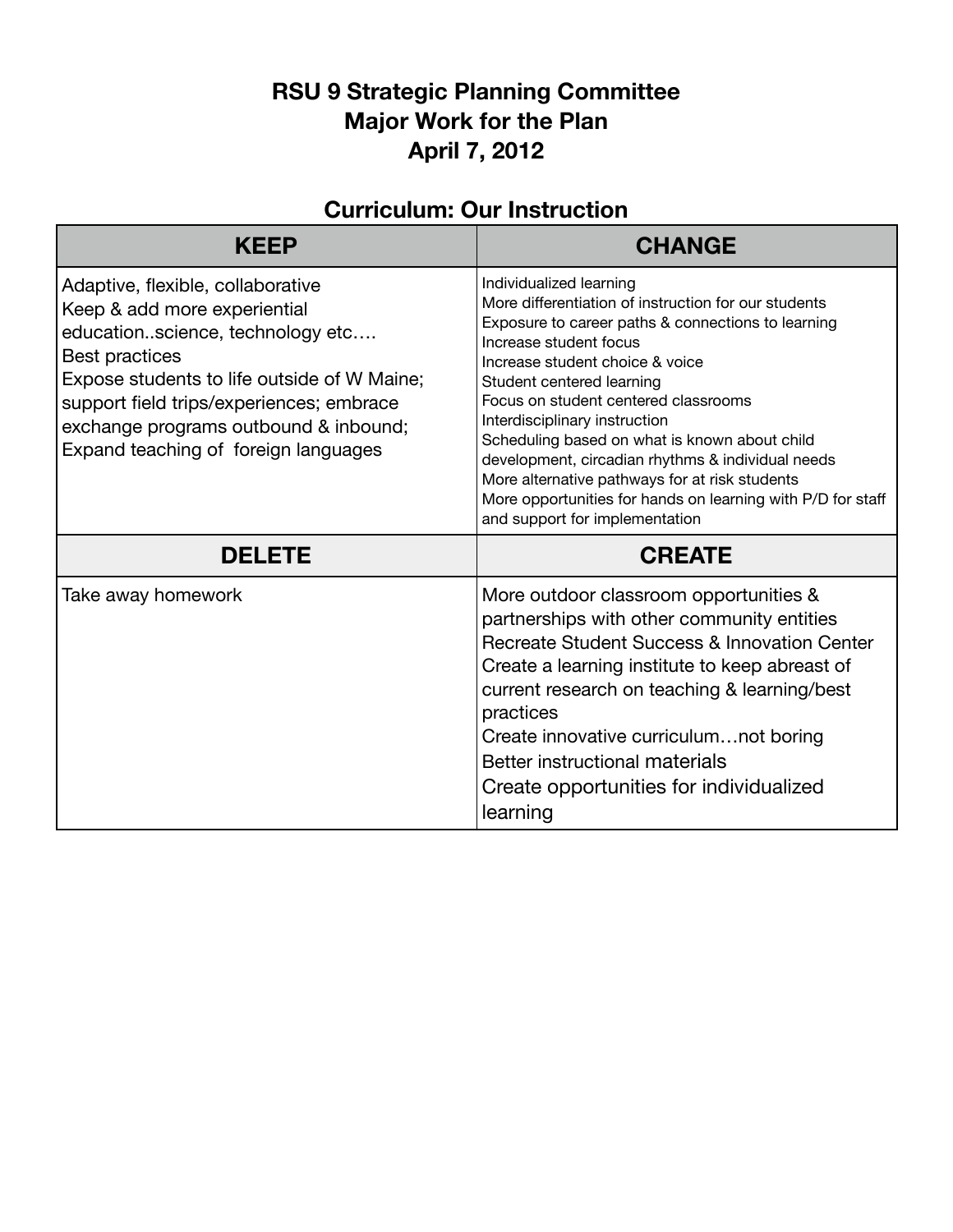## **RSU 9 Strategic Planning Committee Major Work for the Plan April 7, 2012**

| Curriculum. Odr msu ucuon                                                                                                                                                                                                                                                                           |                                                                                                                                                                                                                                                                                                                                                                                                                                                                                                                                                                   |  |
|-----------------------------------------------------------------------------------------------------------------------------------------------------------------------------------------------------------------------------------------------------------------------------------------------------|-------------------------------------------------------------------------------------------------------------------------------------------------------------------------------------------------------------------------------------------------------------------------------------------------------------------------------------------------------------------------------------------------------------------------------------------------------------------------------------------------------------------------------------------------------------------|--|
| <b>KEEP</b>                                                                                                                                                                                                                                                                                         | <b>CHANGE</b>                                                                                                                                                                                                                                                                                                                                                                                                                                                                                                                                                     |  |
| Adaptive, flexible, collaborative<br>Keep & add more experiential<br>educationscience, technology etc<br>Best practices<br>Expose students to life outside of W Maine;<br>support field trips/experiences; embrace<br>exchange programs outbound & inbound;<br>Expand teaching of foreign languages | Individualized learning<br>More differentiation of instruction for our students<br>Exposure to career paths & connections to learning<br>Increase student focus<br>Increase student choice & voice<br>Student centered learning<br>Focus on student centered classrooms<br>Interdisciplinary instruction<br>Scheduling based on what is known about child<br>development, circadian rhythms & individual needs<br>More alternative pathways for at risk students<br>More opportunities for hands on learning with P/D for staff<br>and support for implementation |  |
| <b>DELETE</b>                                                                                                                                                                                                                                                                                       | <b>CREATE</b>                                                                                                                                                                                                                                                                                                                                                                                                                                                                                                                                                     |  |
| Take away homework                                                                                                                                                                                                                                                                                  | More outdoor classroom opportunities &<br>partnerships with other community entities<br>Recreate Student Success & Innovation Center<br>Create a learning institute to keep abreast of<br>current research on teaching & learning/best<br>practices<br>Create innovative curriculumnot boring<br>Better instructional materials<br>Create opportunities for individualized<br>learning                                                                                                                                                                            |  |

## **Curriculum: Our Instruction**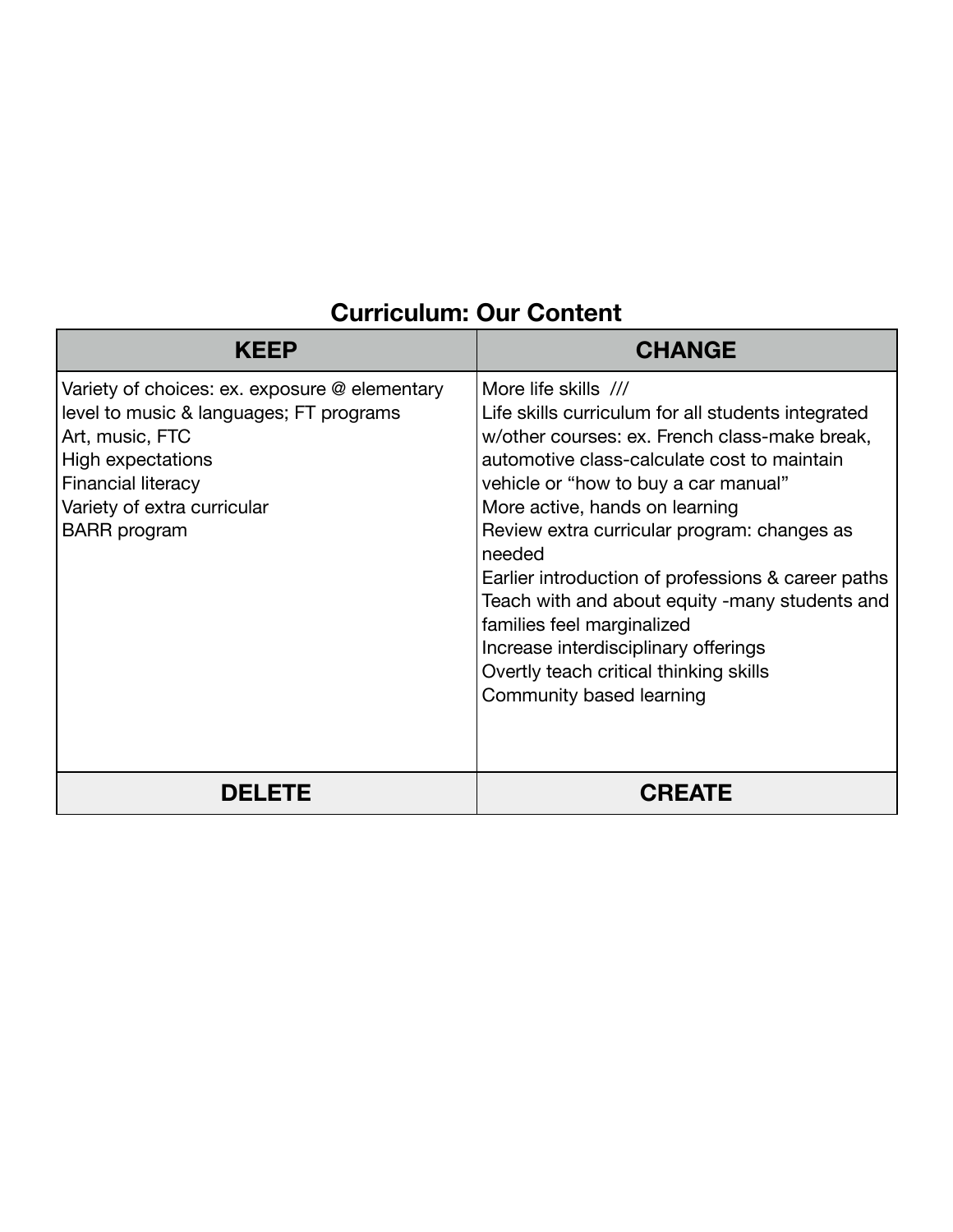## **Curriculum: Our Content**

| KEEP                                                                                                                                                                                                                | <b>CHANGE</b>                                                                                                                                                                                                                                                                                                                                                                                                                                                                                                                                                     |
|---------------------------------------------------------------------------------------------------------------------------------------------------------------------------------------------------------------------|-------------------------------------------------------------------------------------------------------------------------------------------------------------------------------------------------------------------------------------------------------------------------------------------------------------------------------------------------------------------------------------------------------------------------------------------------------------------------------------------------------------------------------------------------------------------|
| Variety of choices: ex. exposure @ elementary<br>level to music & languages; FT programs<br>Art, music, FTC<br>High expectations<br><b>Financial literacy</b><br>Variety of extra curricular<br><b>BARR</b> program | More life skills ///<br>Life skills curriculum for all students integrated<br>w/other courses: ex. French class-make break,<br>automotive class-calculate cost to maintain<br>vehicle or "how to buy a car manual"<br>More active, hands on learning<br>Review extra curricular program: changes as<br>needed<br>Earlier introduction of professions & career paths<br>Teach with and about equity -many students and<br>families feel marginalized<br>Increase interdisciplinary offerings<br>Overtly teach critical thinking skills<br>Community based learning |
| <b>DELETE</b>                                                                                                                                                                                                       | <b>CREATE</b>                                                                                                                                                                                                                                                                                                                                                                                                                                                                                                                                                     |